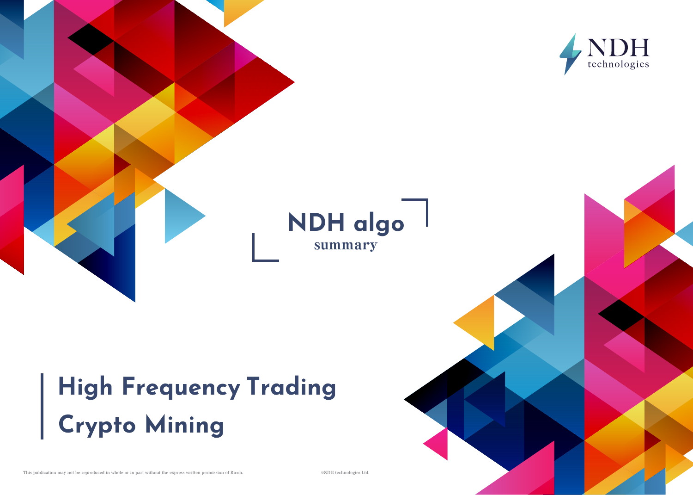

# High Frequency Trading<br>Crypto Mining

This publication may not be reproduced in whole or in part without the express written permission of Ricoh.

©NDH technologies Ltd.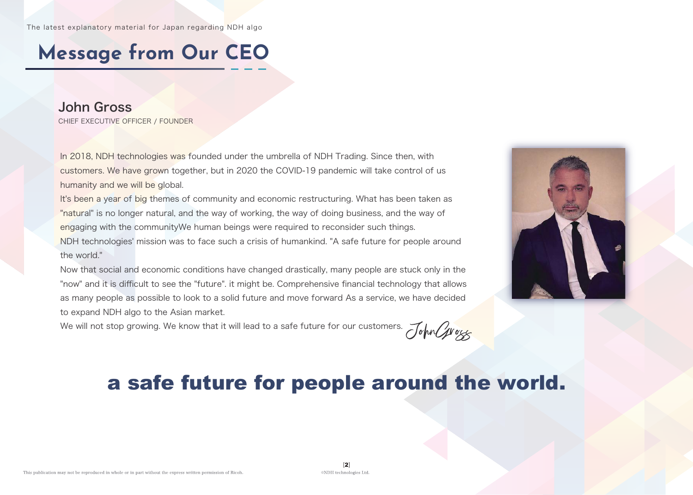# **Message from Our CEO**

#### John Gross CHIEF EXECUTIVE OFFICER / FOUNDER

In 2018, NDH technologies was founded under the umbrella of NDH Trading. Since then, with customers. We have grown together, but in 2020 the COVID-19 pandemic will take control of us humanity and we will be global.

It's been a year of big themes of community and economic restructuring. What has been taken as "natural" is no longer natural, and the way of working, the way of doing business, and the way of engaging with the communityWe human beings were required to reconsider such things. NDH technologies' mission was to face such a crisis of humankind. "A safe future for people around the world."

Now that social and economic conditions have changed drastically, many people are stuck only in the "now" and it is difficult to see the "future". it might be. Comprehensive financial technology that allows as many people as possible to look to a solid future and move forward As a service, we have decided to expand NDH algo to the Asian market.

We will not stop growing. We know that it will lead to a safe future for our customers.  $\mathcal{J}_{\alpha}$  or  $\alpha$ 



### a safe future for people around the world.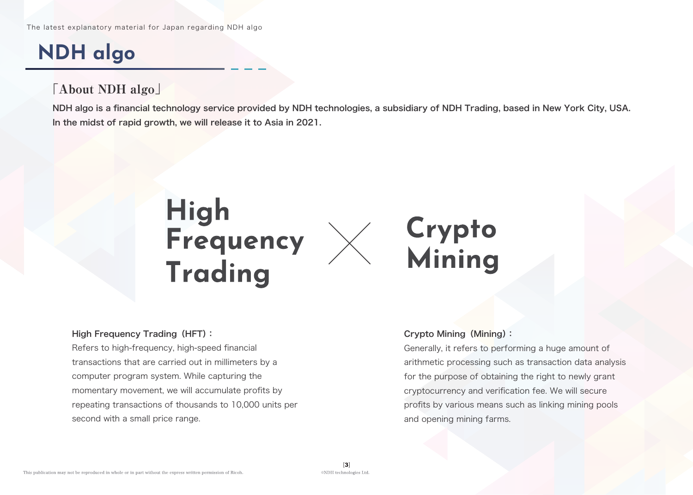# **NDH algo**

### 「About NDH algo」

NDH algo is a financial technology service provided by NDH technologies, a subsidiary of NDH Trading, based in New York City, USA. In the midst of rapid growth, we will release it to Asia in 2021.



#### High Frequency Trading (HFT):

Refers to high-frequency, high-speed financial transactions that are carried out in millimeters by a computer program system. While capturing the momentary movement, we will accumulate profits by repeating transactions of thousands to 10,000 units per second with a small price range.

#### Crypto Mining(Mining):

Generally, it refers to performing a huge amount of arithmetic processing such as transaction data analysis for the purpose of obtaining the right to newly grant cryptocurrency and verification fee. We will secure profits by various means such as linking mining pools and opening mining farms.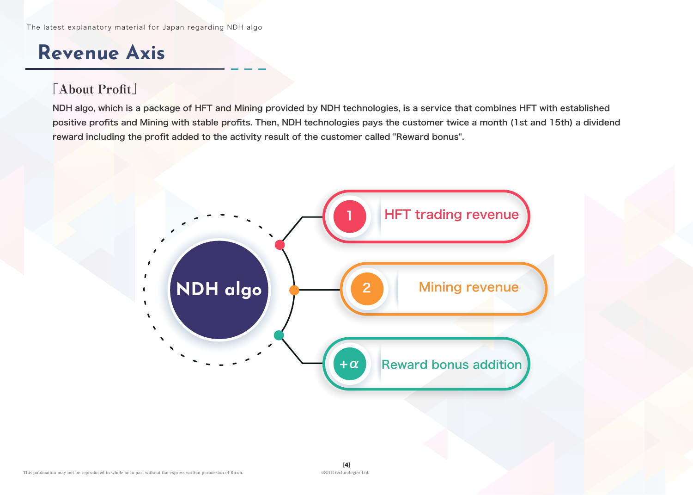### **Revenue Axis**

### 「About Profit」

NDH algo, which is a package of HFT and Mining provided by NDH technologies, is a service that combines HFT with established positive profits and Mining with stable profits. Then, NDH technologies pays the customer twice a month (1st and 15th) a dividend reward including the profit added to the activity result of the customer called "Reward bonus".

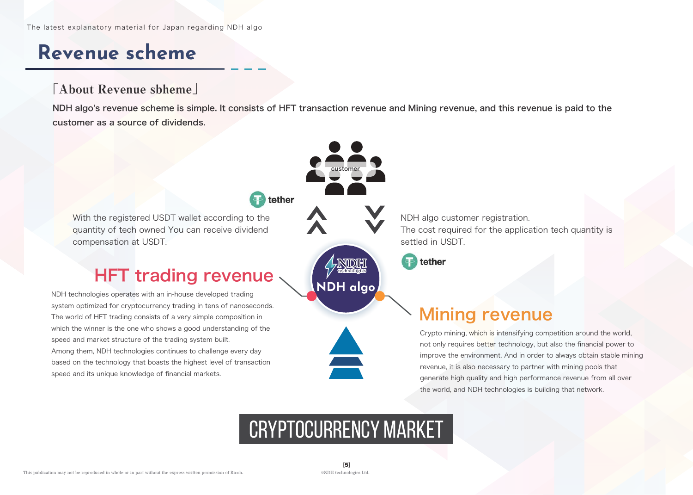### **Revenue scheme**

#### 「About Revenue sbheme」

NDH algo's revenue scheme is simple. It consists of HFT transaction revenue and Mining revenue, and this revenue is paid to the customer as a source of dividends.



### Cryptocurrency market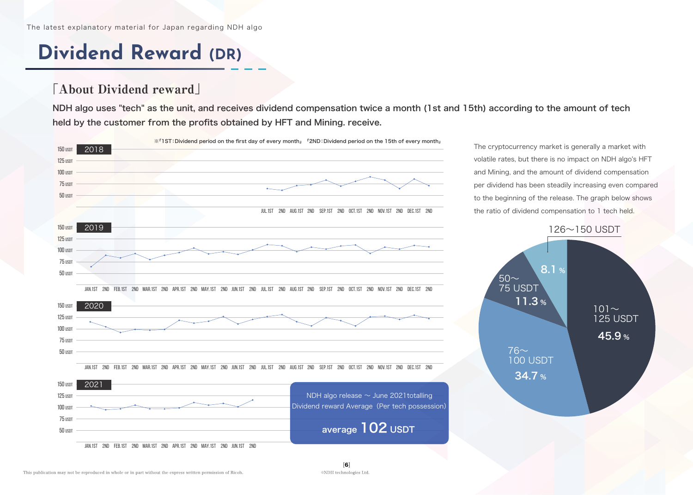## **Dividend Reward (DR)**

#### 「About Dividend reward」

NDH algo uses "tech" as the unit, and receives dividend compensation twice a month (1st and 15th) according to the amount of tech held by the customer from the profits obtained by HFT and Mining. receive.



The cryptocurrency market is generally a market with volatile rates, but there is no impact on NDH algo's HFT and Mining, and the amount of dividend compensation per dividend has been steadily increasing even compared to the beginning of the release. The graph below shows the ratio of dividend compensation to 1 tech held.

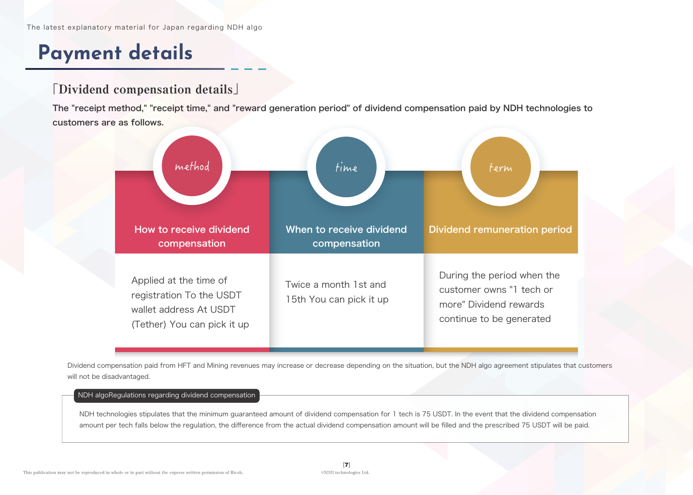### **Payment details**

#### 「Dividend compensation details」

The "receipt method," "receipt time," and "reward generation period" of dividend compensation paid by NDH technologies to customers are as follows.



Dividend compensation paid from HFT and Mining revenues may increase or decrease depending on the situation, but the NDH algo agreement stipulates that customers will not be disadvantaged.

#### NDH algoRegulations regarding dividend compensation

NDH technologies stipulates that the minimum guaranteed amount of dividend compensation for 1 tech is 75 USDT. In the event that the dividend compensation amount per tech falls below the regulation, the difference from the actual dividend compensation amount will be filled and the prescribed 75 USDT will be paid.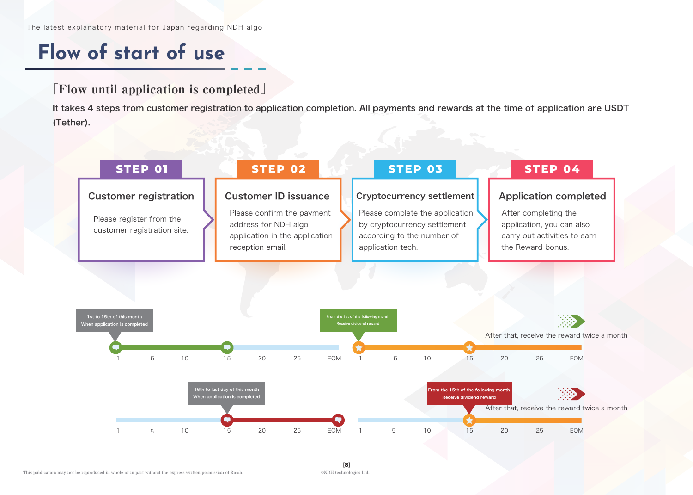### **Flow of start of use**

#### 「Flow until application is completed」

It takes 4 steps from customer registration to application completion. All payments and rewards at the time of application are USDT (Tether).

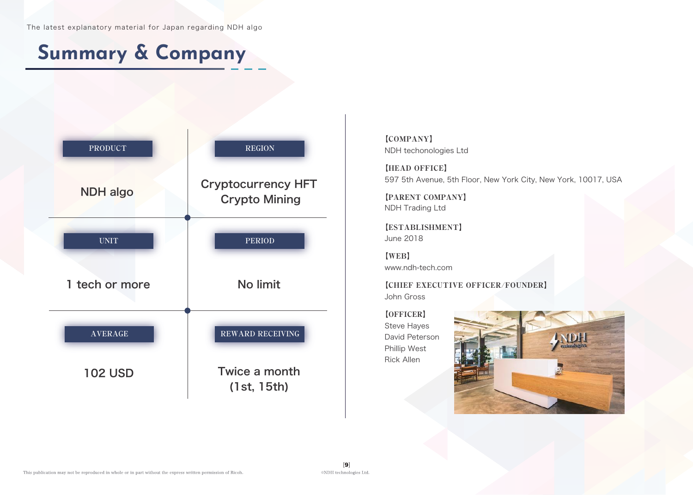### **Summary & Company**



【COMPANY】 NDH techonologies Ltd

【HEAD OFFICE】 597 5th Avenue, 5th Floor, New York City, New York, 10017, USA

【PARENT COMPANY】 NDH Trading Ltd

【ESTABLISHMENT】 June 2018

【WEB】 www.ndh-tech.com

【CHIEF EXECUTIVE OFFICER/FOUNDER】 John Gross

【OFFICER】 Steve Hayes David Peterson Phillip West Rick Allen

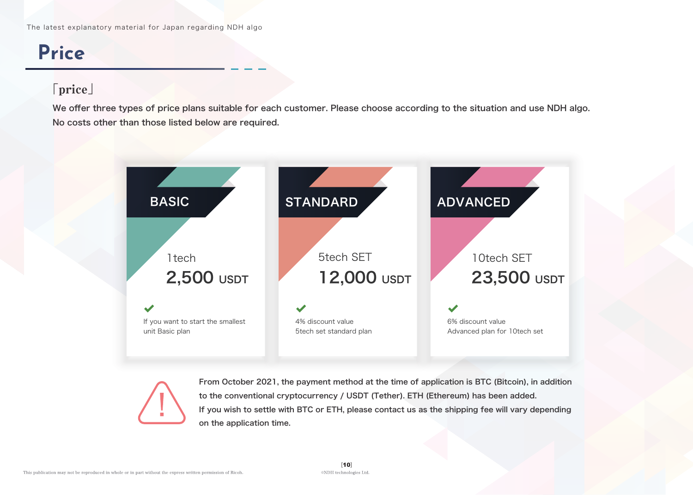### **Price**

### 「price」

We offer three types of price plans suitable for each customer. Please choose according to the situation and use NDH algo. No costs other than those listed below are required.





From October 2021, the payment method at the time of application is BTC (Bitcoin), in addition to the conventional cryptocurrency / USDT (Tether). ETH (Ethereum) has been added. If you wish to settle with BTC or ETH, please contact us as the shipping fee will vary depending on the application time.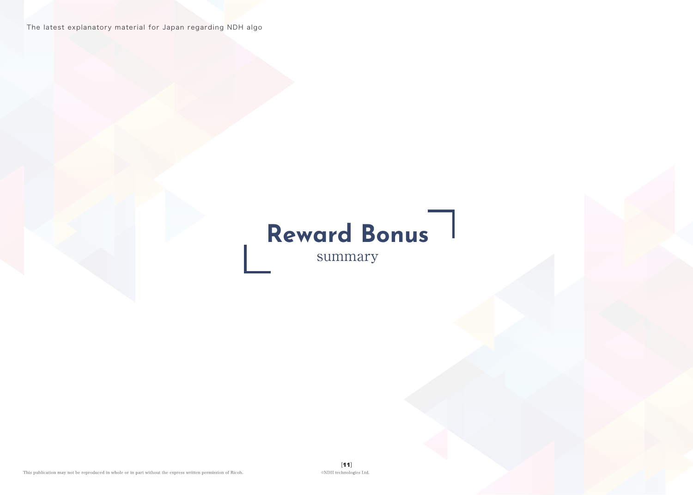The latest explanatory material for Japan regarding NDH algo

# **Reward Bonus**

summary

 $[{\bf 11}]$  <br> ©NDH technologies Ltd.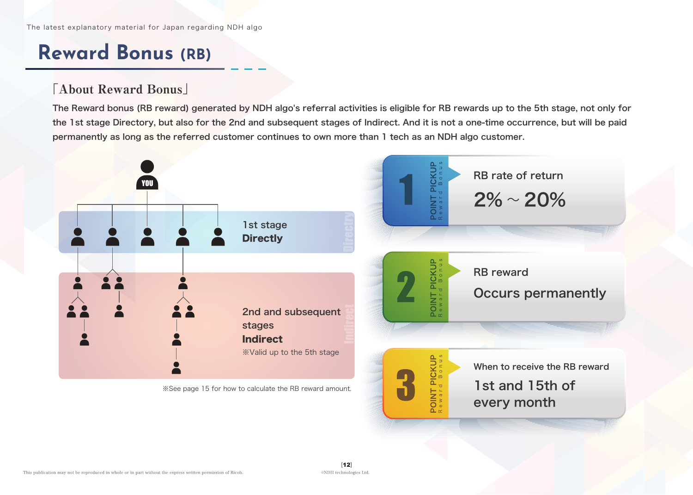### **Reward Bonus (RB)**

#### 「About Reward Bonus」

The Reward bonus (RB reward) generated by NDH algo's referral activities is eligible for RB rewards up to the 5th stage, not only for the 1st stage Directory, but also for the 2nd and subsequent stages of Indirect. And it is not a one-time occurrence, but will be paid permanently as long as the referred customer continues to own more than 1 tech as an NDH algo customer.

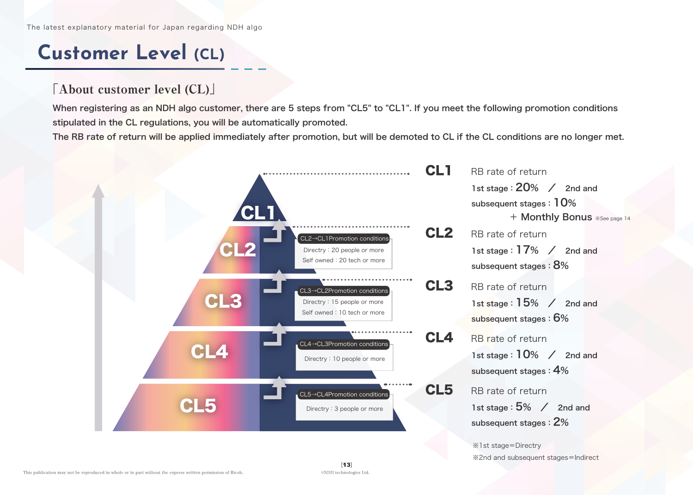### **Customer Level (CL)**

#### 「About customer level (CL)」

When registering as an NDH algo customer, there are 5 steps from "CL5" to "CL1". If you meet the following promotion conditions stipulated in the CL regulations, you will be automatically promoted.

The RB rate of return will be applied immediately after promotion, but will be demoted to CL if the CL conditions are no longer met.

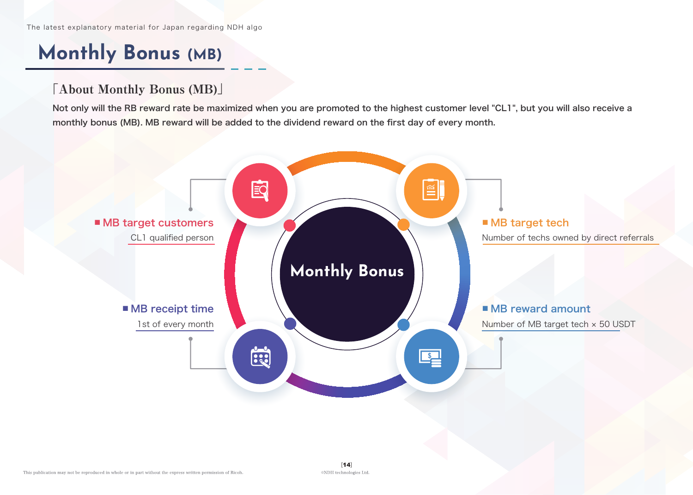### **Monthly Bonus (MB)**

### 「About Monthly Bonus (MB)」

Not only will the RB reward rate be maximized when you are promoted to the highest customer level "CL1", but you will also receive a monthly bonus (MB). MB reward will be added to the dividend reward on the first day of every month.

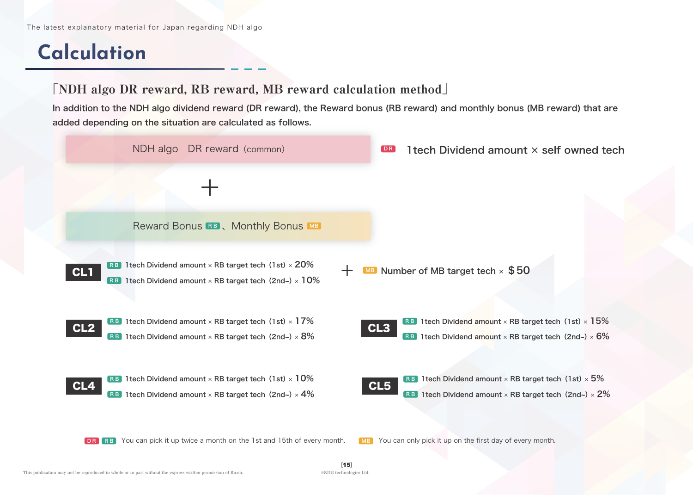## **Calculation**

#### 「NDH algo DR reward, RB reward, MB reward calculation method」

In addition to the NDH algo dividend reward (DR reward), the Reward bonus (RB reward) and monthly bonus (MB reward) that are added depending on the situation are calculated as follows.